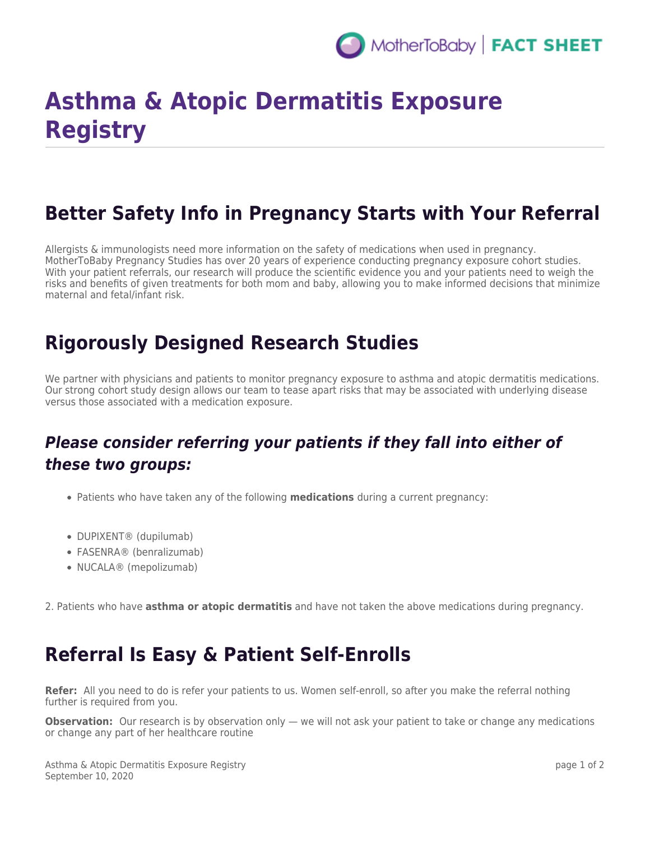

# **Asthma & Atopic Dermatitis Exposure Registry**

### **Better Safety Info in Pregnancy Starts with Your Referral**

Allergists & immunologists need more information on the safety of medications when used in pregnancy. MotherToBaby Pregnancy Studies has over 20 years of experience conducting pregnancy exposure cohort studies. With your patient referrals, our research will produce the scientific evidence you and your patients need to weigh the risks and benefits of given treatments for both mom and baby, allowing you to make informed decisions that minimize maternal and fetal/infant risk.

#### **Rigorously Designed Research Studies**

We partner with physicians and patients to monitor pregnancy exposure to asthma and atopic dermatitis medications. Our strong cohort study design allows our team to tease apart risks that may be associated with underlying disease versus those associated with a medication exposure.

#### *Please consider referring your patients if they fall into either of these two groups:*

- Patients who have taken any of the following **medications** during a current pregnancy:
- DUPIXENT® (dupilumab)
- FASENRA® (benralizumab)
- NUCALA® (mepolizumab)

2. Patients who have **asthma or atopic dermatitis** and have not taken the above medications during pregnancy.

#### **Referral Is Easy & Patient Self-Enrolls**

**Refer:** All you need to do is refer your patients to us. Women self-enroll, so after you make the referral nothing further is required from you.

**Observation:** Our research is by observation only — we will not ask your patient to take or change any medications or change any part of her healthcare routine

Asthma & Atopic Dermatitis Exposure Registry September 10, 2020